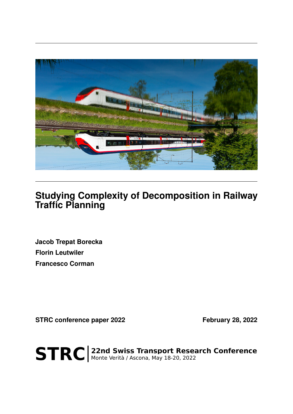

## **Studying Complexity of Decomposition in Railway Traffic Planning**

**Jacob Trepat Borecka Florin Leutwiler Francesco Corman**

STRC conference paper 2022 February 28, 2022

STRC | 22nd Swiss Transport Research Conference